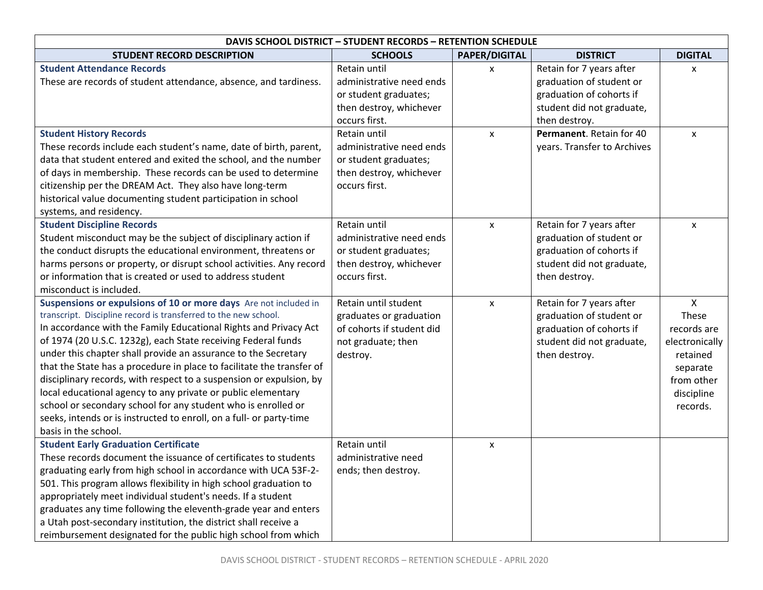| <b>DAVIS SCHOOL DISTRICT - STUDENT RECORDS - RETENTION SCHEDULE</b>                                                                                                                                                                                                                                                                                                                                                                                                                                                                                                                                                                                                                                                        |                                                                                                                               |                              |                                                                                                                                                            |                                                                                                                        |  |
|----------------------------------------------------------------------------------------------------------------------------------------------------------------------------------------------------------------------------------------------------------------------------------------------------------------------------------------------------------------------------------------------------------------------------------------------------------------------------------------------------------------------------------------------------------------------------------------------------------------------------------------------------------------------------------------------------------------------------|-------------------------------------------------------------------------------------------------------------------------------|------------------------------|------------------------------------------------------------------------------------------------------------------------------------------------------------|------------------------------------------------------------------------------------------------------------------------|--|
| <b>STUDENT RECORD DESCRIPTION</b>                                                                                                                                                                                                                                                                                                                                                                                                                                                                                                                                                                                                                                                                                          | <b>SCHOOLS</b>                                                                                                                | <b>PAPER/DIGITAL</b>         | <b>DISTRICT</b>                                                                                                                                            | <b>DIGITAL</b>                                                                                                         |  |
| <b>Student Attendance Records</b><br>These are records of student attendance, absence, and tardiness.<br><b>Student History Records</b>                                                                                                                                                                                                                                                                                                                                                                                                                                                                                                                                                                                    | Retain until<br>administrative need ends<br>or student graduates;<br>then destroy, whichever<br>occurs first.<br>Retain until | $\mathsf{x}$<br>$\mathsf{x}$ | Retain for 7 years after<br>graduation of student or<br>graduation of cohorts if<br>student did not graduate,<br>then destroy.<br>Permanent. Retain for 40 | x<br>X                                                                                                                 |  |
| These records include each student's name, date of birth, parent,<br>data that student entered and exited the school, and the number<br>of days in membership. These records can be used to determine<br>citizenship per the DREAM Act. They also have long-term<br>historical value documenting student participation in school<br>systems, and residency.                                                                                                                                                                                                                                                                                                                                                                | administrative need ends<br>or student graduates;<br>then destroy, whichever<br>occurs first.                                 |                              | years. Transfer to Archives                                                                                                                                |                                                                                                                        |  |
| <b>Student Discipline Records</b><br>Student misconduct may be the subject of disciplinary action if<br>the conduct disrupts the educational environment, threatens or<br>harms persons or property, or disrupt school activities. Any record<br>or information that is created or used to address student<br>misconduct is included.                                                                                                                                                                                                                                                                                                                                                                                      | <b>Retain until</b><br>administrative need ends<br>or student graduates;<br>then destroy, whichever<br>occurs first.          | $\mathsf{x}$                 | Retain for 7 years after<br>graduation of student or<br>graduation of cohorts if<br>student did not graduate,<br>then destroy.                             | X                                                                                                                      |  |
| Suspensions or expulsions of 10 or more days Are not included in<br>transcript. Discipline record is transferred to the new school.<br>In accordance with the Family Educational Rights and Privacy Act<br>of 1974 (20 U.S.C. 1232g), each State receiving Federal funds<br>under this chapter shall provide an assurance to the Secretary<br>that the State has a procedure in place to facilitate the transfer of<br>disciplinary records, with respect to a suspension or expulsion, by<br>local educational agency to any private or public elementary<br>school or secondary school for any student who is enrolled or<br>seeks, intends or is instructed to enroll, on a full- or party-time<br>basis in the school. | Retain until student<br>graduates or graduation<br>of cohorts if student did<br>not graduate; then<br>destroy.                | $\mathsf{x}$                 | Retain for 7 years after<br>graduation of student or<br>graduation of cohorts if<br>student did not graduate,<br>then destroy.                             | $\mathsf{X}$<br>These<br>records are<br>electronically<br>retained<br>separate<br>from other<br>discipline<br>records. |  |
| <b>Student Early Graduation Certificate</b><br>These records document the issuance of certificates to students<br>graduating early from high school in accordance with UCA 53F-2-<br>501. This program allows flexibility in high school graduation to<br>appropriately meet individual student's needs. If a student<br>graduates any time following the eleventh-grade year and enters<br>a Utah post-secondary institution, the district shall receive a<br>reimbursement designated for the public high school from which                                                                                                                                                                                              | Retain until<br>administrative need<br>ends; then destroy.                                                                    | $\mathsf{x}$                 |                                                                                                                                                            |                                                                                                                        |  |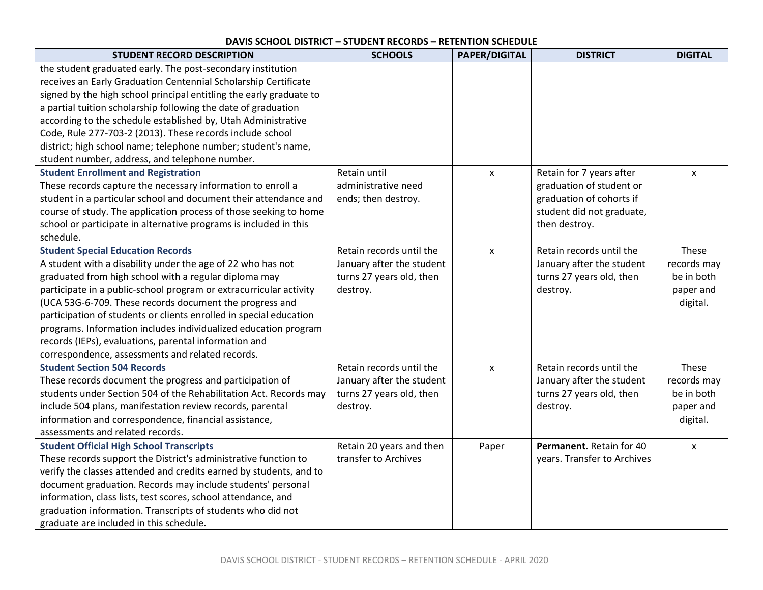| <b>DAVIS SCHOOL DISTRICT - STUDENT RECORDS - RETENTION SCHEDULE</b>                                                                                                                                                                                                                                                                                                                                                                                                                                                                                     |                                                                                               |                      |                                                                                                                                |                                                             |  |
|---------------------------------------------------------------------------------------------------------------------------------------------------------------------------------------------------------------------------------------------------------------------------------------------------------------------------------------------------------------------------------------------------------------------------------------------------------------------------------------------------------------------------------------------------------|-----------------------------------------------------------------------------------------------|----------------------|--------------------------------------------------------------------------------------------------------------------------------|-------------------------------------------------------------|--|
| <b>STUDENT RECORD DESCRIPTION</b>                                                                                                                                                                                                                                                                                                                                                                                                                                                                                                                       | <b>SCHOOLS</b>                                                                                | <b>PAPER/DIGITAL</b> | <b>DISTRICT</b>                                                                                                                | <b>DIGITAL</b>                                              |  |
| the student graduated early. The post-secondary institution<br>receives an Early Graduation Centennial Scholarship Certificate<br>signed by the high school principal entitling the early graduate to<br>a partial tuition scholarship following the date of graduation<br>according to the schedule established by, Utah Administrative<br>Code, Rule 277-703-2 (2013). These records include school<br>district; high school name; telephone number; student's name,<br>student number, address, and telephone number.                                |                                                                                               |                      |                                                                                                                                |                                                             |  |
| <b>Student Enrollment and Registration</b><br>These records capture the necessary information to enroll a<br>student in a particular school and document their attendance and<br>course of study. The application process of those seeking to home<br>school or participate in alternative programs is included in this<br>schedule.                                                                                                                                                                                                                    | Retain until<br>administrative need<br>ends; then destroy.                                    | $\pmb{\times}$       | Retain for 7 years after<br>graduation of student or<br>graduation of cohorts if<br>student did not graduate,<br>then destroy. | $\mathsf{x}$                                                |  |
| <b>Student Special Education Records</b><br>A student with a disability under the age of 22 who has not<br>graduated from high school with a regular diploma may<br>participate in a public-school program or extracurricular activity<br>(UCA 53G-6-709. These records document the progress and<br>participation of students or clients enrolled in special education<br>programs. Information includes individualized education program<br>records (IEPs), evaluations, parental information and<br>correspondence, assessments and related records. | Retain records until the<br>January after the student<br>turns 27 years old, then<br>destroy. | $\pmb{\times}$       | Retain records until the<br>January after the student<br>turns 27 years old, then<br>destroy.                                  | These<br>records may<br>be in both<br>paper and<br>digital. |  |
| <b>Student Section 504 Records</b><br>These records document the progress and participation of<br>students under Section 504 of the Rehabilitation Act. Records may<br>include 504 plans, manifestation review records, parental<br>information and correspondence, financial assistance,<br>assessments and related records.                                                                                                                                                                                                                           | Retain records until the<br>January after the student<br>turns 27 years old, then<br>destroy. | $\pmb{\times}$       | Retain records until the<br>January after the student<br>turns 27 years old, then<br>destroy.                                  | These<br>records may<br>be in both<br>paper and<br>digital. |  |
| <b>Student Official High School Transcripts</b><br>These records support the District's administrative function to<br>verify the classes attended and credits earned by students, and to<br>document graduation. Records may include students' personal<br>information, class lists, test scores, school attendance, and<br>graduation information. Transcripts of students who did not<br>graduate are included in this schedule.                                                                                                                      | Retain 20 years and then<br>transfer to Archives                                              | Paper                | Permanent. Retain for 40<br>years. Transfer to Archives                                                                        | $\pmb{\mathsf{x}}$                                          |  |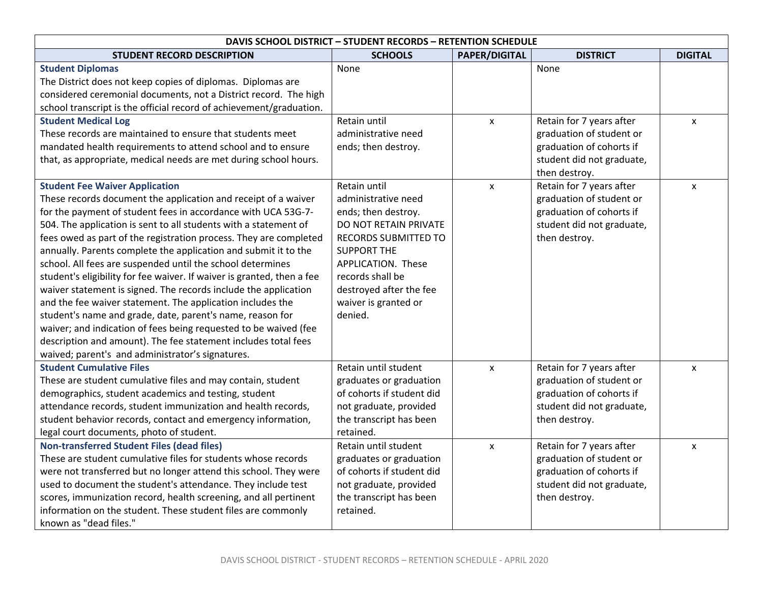| <b>DAVIS SCHOOL DISTRICT - STUDENT RECORDS - RETENTION SCHEDULE</b>    |                           |                      |                           |                |
|------------------------------------------------------------------------|---------------------------|----------------------|---------------------------|----------------|
| <b>STUDENT RECORD DESCRIPTION</b>                                      | <b>SCHOOLS</b>            | <b>PAPER/DIGITAL</b> | <b>DISTRICT</b>           | <b>DIGITAL</b> |
| <b>Student Diplomas</b>                                                | None                      |                      | None                      |                |
| The District does not keep copies of diplomas. Diplomas are            |                           |                      |                           |                |
| considered ceremonial documents, not a District record. The high       |                           |                      |                           |                |
| school transcript is the official record of achievement/graduation.    |                           |                      |                           |                |
| <b>Student Medical Log</b>                                             | Retain until              | $\pmb{\mathsf{X}}$   | Retain for 7 years after  | X              |
| These records are maintained to ensure that students meet              | administrative need       |                      | graduation of student or  |                |
| mandated health requirements to attend school and to ensure            | ends; then destroy.       |                      | graduation of cohorts if  |                |
| that, as appropriate, medical needs are met during school hours.       |                           |                      | student did not graduate, |                |
|                                                                        |                           |                      | then destroy.             |                |
| <b>Student Fee Waiver Application</b>                                  | Retain until              | $\mathsf{x}$         | Retain for 7 years after  | $\mathsf{x}$   |
| These records document the application and receipt of a waiver         | administrative need       |                      | graduation of student or  |                |
| for the payment of student fees in accordance with UCA 53G-7-          | ends; then destroy.       |                      | graduation of cohorts if  |                |
| 504. The application is sent to all students with a statement of       | DO NOT RETAIN PRIVATE     |                      | student did not graduate, |                |
| fees owed as part of the registration process. They are completed      | RECORDS SUBMITTED TO      |                      | then destroy.             |                |
| annually. Parents complete the application and submit it to the        | <b>SUPPORT THE</b>        |                      |                           |                |
| school. All fees are suspended until the school determines             | APPLICATION. These        |                      |                           |                |
| student's eligibility for fee waiver. If waiver is granted, then a fee | records shall be          |                      |                           |                |
| waiver statement is signed. The records include the application        | destroyed after the fee   |                      |                           |                |
| and the fee waiver statement. The application includes the             | waiver is granted or      |                      |                           |                |
| student's name and grade, date, parent's name, reason for              | denied.                   |                      |                           |                |
| waiver; and indication of fees being requested to be waived (fee       |                           |                      |                           |                |
| description and amount). The fee statement includes total fees         |                           |                      |                           |                |
| waived; parent's and administrator's signatures.                       |                           |                      |                           |                |
| <b>Student Cumulative Files</b>                                        | Retain until student      | $\pmb{\mathsf{x}}$   | Retain for 7 years after  | $\mathsf{x}$   |
| These are student cumulative files and may contain, student            | graduates or graduation   |                      | graduation of student or  |                |
| demographics, student academics and testing, student                   | of cohorts if student did |                      | graduation of cohorts if  |                |
| attendance records, student immunization and health records,           | not graduate, provided    |                      | student did not graduate, |                |
| student behavior records, contact and emergency information,           | the transcript has been   |                      | then destroy.             |                |
| legal court documents, photo of student.                               | retained.                 |                      |                           |                |
| <b>Non-transferred Student Files (dead files)</b>                      | Retain until student      | X                    | Retain for 7 years after  | X              |
| These are student cumulative files for students whose records          | graduates or graduation   |                      | graduation of student or  |                |
| were not transferred but no longer attend this school. They were       | of cohorts if student did |                      | graduation of cohorts if  |                |
| used to document the student's attendance. They include test           | not graduate, provided    |                      | student did not graduate, |                |
| scores, immunization record, health screening, and all pertinent       | the transcript has been   |                      | then destroy.             |                |
| information on the student. These student files are commonly           | retained.                 |                      |                           |                |
| known as "dead files."                                                 |                           |                      |                           |                |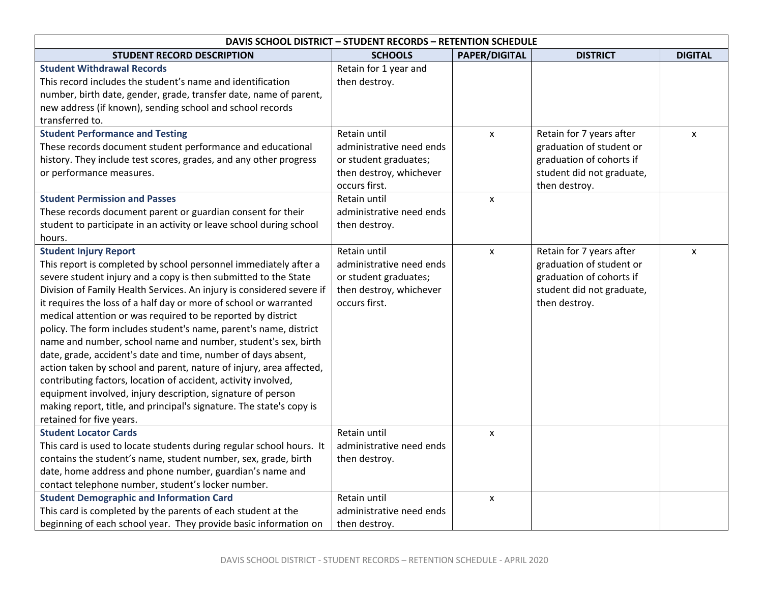| <b>DAVIS SCHOOL DISTRICT - STUDENT RECORDS - RETENTION SCHEDULE</b>                                                                                                                                                                                                                                                                                                                                                                                                                                                                                                                                                                                                                                                                                                                                                                                                                                  |                                                                                                               |                      |                                                                                                                                |                |
|------------------------------------------------------------------------------------------------------------------------------------------------------------------------------------------------------------------------------------------------------------------------------------------------------------------------------------------------------------------------------------------------------------------------------------------------------------------------------------------------------------------------------------------------------------------------------------------------------------------------------------------------------------------------------------------------------------------------------------------------------------------------------------------------------------------------------------------------------------------------------------------------------|---------------------------------------------------------------------------------------------------------------|----------------------|--------------------------------------------------------------------------------------------------------------------------------|----------------|
| <b>STUDENT RECORD DESCRIPTION</b>                                                                                                                                                                                                                                                                                                                                                                                                                                                                                                                                                                                                                                                                                                                                                                                                                                                                    | <b>SCHOOLS</b>                                                                                                | <b>PAPER/DIGITAL</b> | <b>DISTRICT</b>                                                                                                                | <b>DIGITAL</b> |
| <b>Student Withdrawal Records</b><br>This record includes the student's name and identification<br>number, birth date, gender, grade, transfer date, name of parent,<br>new address (if known), sending school and school records<br>transferred to.                                                                                                                                                                                                                                                                                                                                                                                                                                                                                                                                                                                                                                                 | Retain for 1 year and<br>then destroy.                                                                        |                      |                                                                                                                                |                |
| <b>Student Performance and Testing</b><br>These records document student performance and educational<br>history. They include test scores, grades, and any other progress<br>or performance measures.                                                                                                                                                                                                                                                                                                                                                                                                                                                                                                                                                                                                                                                                                                | Retain until<br>administrative need ends<br>or student graduates;<br>then destroy, whichever<br>occurs first. | $\pmb{\times}$       | Retain for 7 years after<br>graduation of student or<br>graduation of cohorts if<br>student did not graduate,<br>then destroy. | X              |
| <b>Student Permission and Passes</b><br>These records document parent or guardian consent for their<br>student to participate in an activity or leave school during school<br>hours.                                                                                                                                                                                                                                                                                                                                                                                                                                                                                                                                                                                                                                                                                                                 | <b>Retain until</b><br>administrative need ends<br>then destroy.                                              | $\mathsf{x}$         |                                                                                                                                |                |
| <b>Student Injury Report</b><br>This report is completed by school personnel immediately after a<br>severe student injury and a copy is then submitted to the State<br>Division of Family Health Services. An injury is considered severe if<br>it requires the loss of a half day or more of school or warranted<br>medical attention or was required to be reported by district<br>policy. The form includes student's name, parent's name, district<br>name and number, school name and number, student's sex, birth<br>date, grade, accident's date and time, number of days absent,<br>action taken by school and parent, nature of injury, area affected,<br>contributing factors, location of accident, activity involved,<br>equipment involved, injury description, signature of person<br>making report, title, and principal's signature. The state's copy is<br>retained for five years. | Retain until<br>administrative need ends<br>or student graduates;<br>then destroy, whichever<br>occurs first. | $\mathsf{x}$         | Retain for 7 years after<br>graduation of student or<br>graduation of cohorts if<br>student did not graduate,<br>then destroy. | X              |
| <b>Student Locator Cards</b><br>This card is used to locate students during regular school hours. It<br>contains the student's name, student number, sex, grade, birth<br>date, home address and phone number, guardian's name and<br>contact telephone number, student's locker number.                                                                                                                                                                                                                                                                                                                                                                                                                                                                                                                                                                                                             | Retain until<br>administrative need ends<br>then destroy.                                                     | $\pmb{\times}$       |                                                                                                                                |                |
| <b>Student Demographic and Information Card</b><br>This card is completed by the parents of each student at the<br>beginning of each school year. They provide basic information on                                                                                                                                                                                                                                                                                                                                                                                                                                                                                                                                                                                                                                                                                                                  | Retain until<br>administrative need ends<br>then destroy.                                                     | $\pmb{\mathsf{x}}$   |                                                                                                                                |                |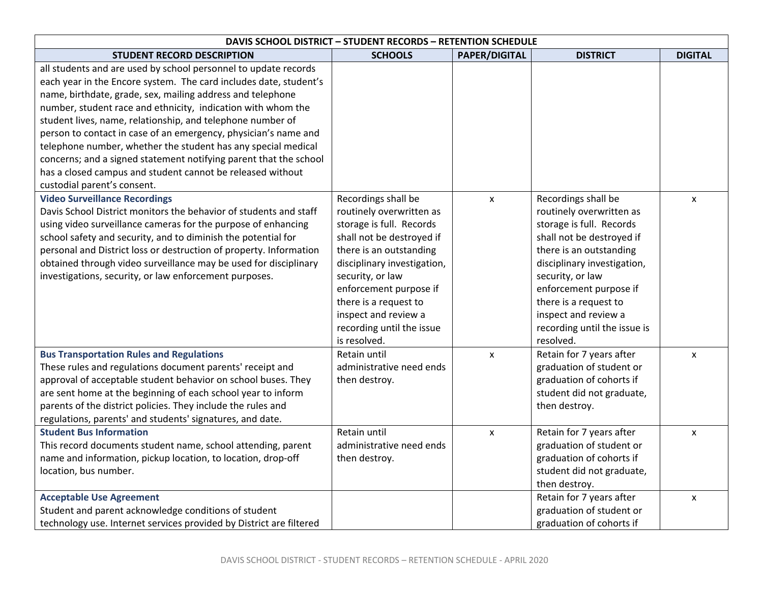| <b>DAVIS SCHOOL DISTRICT - STUDENT RECORDS - RETENTION SCHEDULE</b>                                                                                                                                                                                                                                                                                                                                                                                                                                                                                                                                                                    |                                                                                                                                                                                                                                                                                                                |                      |                                                                                                                                                                                                                                                                                                                |                |  |
|----------------------------------------------------------------------------------------------------------------------------------------------------------------------------------------------------------------------------------------------------------------------------------------------------------------------------------------------------------------------------------------------------------------------------------------------------------------------------------------------------------------------------------------------------------------------------------------------------------------------------------------|----------------------------------------------------------------------------------------------------------------------------------------------------------------------------------------------------------------------------------------------------------------------------------------------------------------|----------------------|----------------------------------------------------------------------------------------------------------------------------------------------------------------------------------------------------------------------------------------------------------------------------------------------------------------|----------------|--|
| <b>STUDENT RECORD DESCRIPTION</b>                                                                                                                                                                                                                                                                                                                                                                                                                                                                                                                                                                                                      | <b>SCHOOLS</b>                                                                                                                                                                                                                                                                                                 | <b>PAPER/DIGITAL</b> | <b>DISTRICT</b>                                                                                                                                                                                                                                                                                                | <b>DIGITAL</b> |  |
| all students and are used by school personnel to update records<br>each year in the Encore system. The card includes date, student's<br>name, birthdate, grade, sex, mailing address and telephone<br>number, student race and ethnicity, indication with whom the<br>student lives, name, relationship, and telephone number of<br>person to contact in case of an emergency, physician's name and<br>telephone number, whether the student has any special medical<br>concerns; and a signed statement notifying parent that the school<br>has a closed campus and student cannot be released without<br>custodial parent's consent. |                                                                                                                                                                                                                                                                                                                |                      |                                                                                                                                                                                                                                                                                                                |                |  |
| <b>Video Surveillance Recordings</b><br>Davis School District monitors the behavior of students and staff<br>using video surveillance cameras for the purpose of enhancing<br>school safety and security, and to diminish the potential for<br>personal and District loss or destruction of property. Information<br>obtained through video surveillance may be used for disciplinary<br>investigations, security, or law enforcement purposes.                                                                                                                                                                                        | Recordings shall be<br>routinely overwritten as<br>storage is full. Records<br>shall not be destroyed if<br>there is an outstanding<br>disciplinary investigation,<br>security, or law<br>enforcement purpose if<br>there is a request to<br>inspect and review a<br>recording until the issue<br>is resolved. | $\mathsf{x}$         | Recordings shall be<br>routinely overwritten as<br>storage is full. Records<br>shall not be destroyed if<br>there is an outstanding<br>disciplinary investigation,<br>security, or law<br>enforcement purpose if<br>there is a request to<br>inspect and review a<br>recording until the issue is<br>resolved. | $\mathsf{x}$   |  |
| <b>Bus Transportation Rules and Regulations</b><br>These rules and regulations document parents' receipt and<br>approval of acceptable student behavior on school buses. They<br>are sent home at the beginning of each school year to inform<br>parents of the district policies. They include the rules and<br>regulations, parents' and students' signatures, and date.                                                                                                                                                                                                                                                             | Retain until<br>administrative need ends<br>then destroy.                                                                                                                                                                                                                                                      | $\pmb{\mathsf{X}}$   | Retain for 7 years after<br>graduation of student or<br>graduation of cohorts if<br>student did not graduate,<br>then destroy.                                                                                                                                                                                 | X              |  |
| <b>Student Bus Information</b><br>This record documents student name, school attending, parent<br>name and information, pickup location, to location, drop-off<br>location, bus number.                                                                                                                                                                                                                                                                                                                                                                                                                                                | Retain until<br>administrative need ends<br>then destroy.                                                                                                                                                                                                                                                      | $\pmb{\mathsf{X}}$   | Retain for 7 years after<br>graduation of student or<br>graduation of cohorts if<br>student did not graduate,<br>then destroy.                                                                                                                                                                                 | X              |  |
| <b>Acceptable Use Agreement</b><br>Student and parent acknowledge conditions of student<br>technology use. Internet services provided by District are filtered                                                                                                                                                                                                                                                                                                                                                                                                                                                                         |                                                                                                                                                                                                                                                                                                                |                      | Retain for 7 years after<br>graduation of student or<br>graduation of cohorts if                                                                                                                                                                                                                               | X              |  |